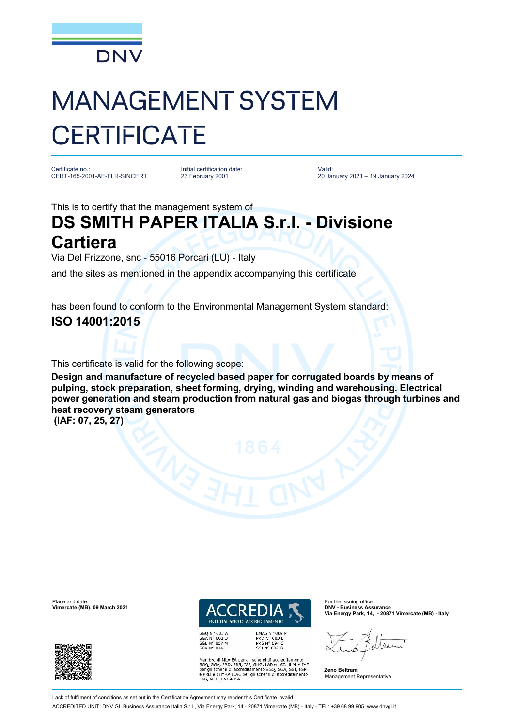

## MANAGEMENT SYSTEM **CERTIFICATE**

Certificate no.: CERT-165-2001-AE-FLR-SINCERT

Initial certification date: 23 February 2001

Valid: 20 January 2021 – 19 January 2024

This is to certify that the management system of

## **DS SMITH PAPER ITALIA S.r.l. - Divisione Cartiera**

Via Del Frizzone, snc - 55016 Porcari (LU) - Italy

and the sites as mentioned in the appendix accompanying this certificate

has been found to conform to the Environmental Management System standard:

**ISO 14001:2015**

This certificate is valid for the following scope:

**Design and manufacture of recycled based paper for corrugated boards by means of pulping, stock preparation, sheet forming, drying, winding and warehousing. Electrical power generation and steam production from natural gas and biogas through turbines and heat recovery steam generators**

**(IAF: 07, 25, 27)**



SGQ N° 003 A<br>SGA N° 003 D SGE N° 007 M<br>SCR N° 004 F EMAS Nº 009 P<br>PRD Nº 003 B<br>PRS Nº 094 C<br>SSI Nº 002 G

Membro di MLA EA per gli schemi di accreditamento<br>SGO, SGA, PRD, PRS, ISP, GHG, LAB e LAT, di MLA IAF<br>per gli schemi di accreditamento SGO, SGA, SSI, FSM<br>e PRD e di MRA ILAC per gli schemi di accreditamento<br>LAB, MED, LAT e

**Via Energy Park, 14, - 20871 Vimercate (MB) - Italy**

Asor





**Vimercate (MB), 09 March 2021** 



Lack of fulfilment of conditions as set out in the Certification Agreement may render this Certificate invalid

ACCREDITED UNIT: DNV GL Business Assurance Italia S.r.l., Via Energy Park, 14 - 20871 Vimercate (MB) - Italy - TEL: +39 68 99 905. [www.dnvgl.it](http://www.dnvgl.it)